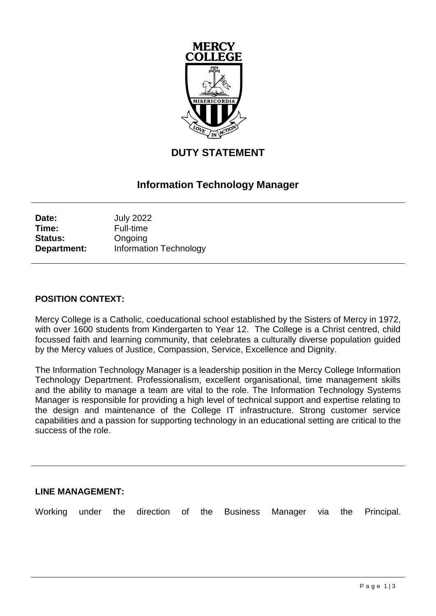

# **DUTY STATEMENT**

## **Information Technology Manager**

| Date:          | <b>July 2022</b>              |
|----------------|-------------------------------|
| Time:          | <b>Full-time</b>              |
| <b>Status:</b> | Ongoing                       |
| Department:    | <b>Information Technology</b> |

#### **POSITION CONTEXT:**

Mercy College is a Catholic, coeducational school established by the Sisters of Mercy in 1972, with over 1600 students from Kindergarten to Year 12. The College is a Christ centred, child focussed faith and learning community, that celebrates a culturally diverse population guided by the Mercy values of Justice, Compassion, Service, Excellence and Dignity.

The Information Technology Manager is a leadership position in the Mercy College Information Technology Department. Professionalism, excellent organisational, time management skills and the ability to manage a team are vital to the role. The Information Technology Systems Manager is responsible for providing a high level of technical support and expertise relating to the design and maintenance of the College IT infrastructure. Strong customer service capabilities and a passion for supporting technology in an educational setting are critical to the success of the role.

#### **LINE MANAGEMENT:**

Working under the direction of the Business Manager via the Principal.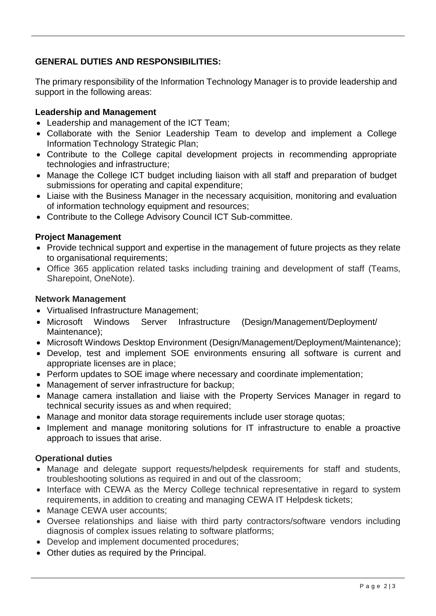## **GENERAL DUTIES AND RESPONSIBILITIES:**

The primary responsibility of the Information Technology Manager is to provide leadership and support in the following areas:

### **Leadership and Management**

- Leadership and management of the ICT Team;
- Collaborate with the Senior Leadership Team to develop and implement a College Information Technology Strategic Plan;
- Contribute to the College capital development projects in recommending appropriate technologies and infrastructure;
- Manage the College ICT budget including liaison with all staff and preparation of budget submissions for operating and capital expenditure;
- Liaise with the Business Manager in the necessary acquisition, monitoring and evaluation of information technology equipment and resources;
- Contribute to the College Advisory Council ICT Sub-committee.

#### **Project Management**

- Provide technical support and expertise in the management of future projects as they relate to organisational requirements;
- Office 365 application related tasks including training and development of staff (Teams, Sharepoint, OneNote).

#### **Network Management**

- Virtualised Infrastructure Management;
- Microsoft Windows Server Infrastructure (Design/Management/Deployment/ Maintenance);
- Microsoft Windows Desktop Environment (Design/Management/Deployment/Maintenance);
- Develop, test and implement SOE environments ensuring all software is current and appropriate licenses are in place;
- Perform updates to SOE image where necessary and coordinate implementation;
- Management of server infrastructure for backup;
- Manage camera installation and liaise with the Property Services Manager in regard to technical security issues as and when required;
- Manage and monitor data storage requirements include user storage quotas;
- Implement and manage monitoring solutions for IT infrastructure to enable a proactive approach to issues that arise.

#### **Operational duties**

- Manage and delegate support requests/helpdesk requirements for staff and students, troubleshooting solutions as required in and out of the classroom;
- Interface with CEWA as the Mercy College technical representative in regard to system requirements, in addition to creating and managing CEWA IT Helpdesk tickets;
- Manage CEWA user accounts;
- Oversee relationships and liaise with third party contractors/software vendors including diagnosis of complex issues relating to software platforms;
- Develop and implement documented procedures;
- Other duties as required by the Principal.